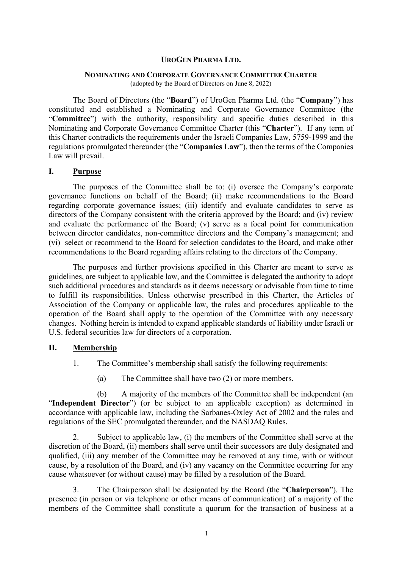### **UROGEN PHARMA LTD.**

#### **NOMINATING AND CORPORATE GOVERNANCE COMMITTEE CHARTER**

(adopted by the Board of Directors on June 8, 2022)

The Board of Directors (the "**Board**") of UroGen Pharma Ltd. (the "**Company**") has constituted and established a Nominating and Corporate Governance Committee (the "**Committee**") with the authority, responsibility and specific duties described in this Nominating and Corporate Governance Committee Charter (this "**Charter**"). If any term of this Charter contradicts the requirements under the Israeli Companies Law, 5759-1999 and the regulations promulgated thereunder (the "**Companies Law**"), then the terms of the Companies Law will prevail.

### **I. Purpose**

The purposes of the Committee shall be to: (i) oversee the Company's corporate governance functions on behalf of the Board; (ii) make recommendations to the Board regarding corporate governance issues; (iii) identify and evaluate candidates to serve as directors of the Company consistent with the criteria approved by the Board; and (iv) review and evaluate the performance of the Board; (v) serve as a focal point for communication between director candidates, non-committee directors and the Company's management; and (vi) select or recommend to the Board for selection candidates to the Board, and make other recommendations to the Board regarding affairs relating to the directors of the Company.

The purposes and further provisions specified in this Charter are meant to serve as guidelines, are subject to applicable law, and the Committee is delegated the authority to adopt such additional procedures and standards as it deems necessary or advisable from time to time to fulfill its responsibilities. Unless otherwise prescribed in this Charter, the Articles of Association of the Company or applicable law, the rules and procedures applicable to the operation of the Board shall apply to the operation of the Committee with any necessary changes. Nothing herein is intended to expand applicable standards of liability under Israeli or U.S. federal securities law for directors of a corporation.

### **II. Membership**

- 1. The Committee's membership shall satisfy the following requirements:
	- (a) The Committee shall have two (2) or more members.

(b) A majority of the members of the Committee shall be independent (an "**Independent Director**") (or be subject to an applicable exception) as determined in accordance with applicable law, including the Sarbanes-Oxley Act of 2002 and the rules and regulations of the SEC promulgated thereunder, and the NASDAQ Rules.

2. Subject to applicable law, (i) the members of the Committee shall serve at the discretion of the Board, (ii) members shall serve until their successors are duly designated and qualified, (iii) any member of the Committee may be removed at any time, with or without cause, by a resolution of the Board, and (iv) any vacancy on the Committee occurring for any cause whatsoever (or without cause) may be filled by a resolution of the Board.

3. The Chairperson shall be designated by the Board (the "**Chairperson**"). The presence (in person or via telephone or other means of communication) of a majority of the members of the Committee shall constitute a quorum for the transaction of business at a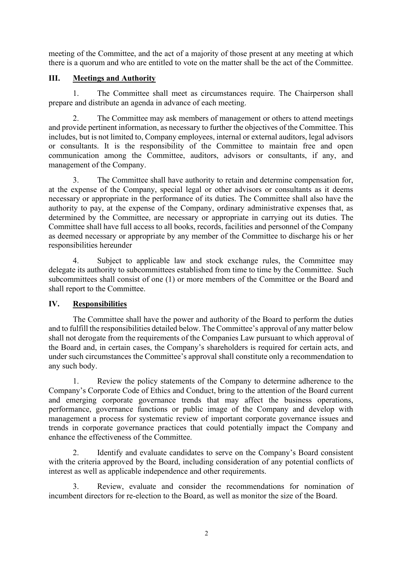meeting of the Committee, and the act of a majority of those present at any meeting at which there is a quorum and who are entitled to vote on the matter shall be the act of the Committee.

## **III. Meetings and Authority**

1. The Committee shall meet as circumstances require. The Chairperson shall prepare and distribute an agenda in advance of each meeting.

The Committee may ask members of management or others to attend meetings and provide pertinent information, as necessary to further the objectives of the Committee. This includes, but is not limited to, Company employees, internal or external auditors, legal advisors or consultants. It is the responsibility of the Committee to maintain free and open communication among the Committee, auditors, advisors or consultants, if any, and management of the Company.

3. The Committee shall have authority to retain and determine compensation for, at the expense of the Company, special legal or other advisors or consultants as it deems necessary or appropriate in the performance of its duties. The Committee shall also have the authority to pay, at the expense of the Company, ordinary administrative expenses that, as determined by the Committee, are necessary or appropriate in carrying out its duties. The Committee shall have full access to all books, records, facilities and personnel of the Company as deemed necessary or appropriate by any member of the Committee to discharge his or her responsibilities hereunder

4. Subject to applicable law and stock exchange rules, the Committee may delegate its authority to subcommittees established from time to time by the Committee. Such subcommittees shall consist of one (1) or more members of the Committee or the Board and shall report to the Committee.

## **IV. Responsibilities**

The Committee shall have the power and authority of the Board to perform the duties and to fulfill the responsibilities detailed below. The Committee's approval of any matter below shall not derogate from the requirements of the Companies Law pursuant to which approval of the Board and, in certain cases, the Company's shareholders is required for certain acts, and under such circumstances the Committee's approval shall constitute only a recommendation to any such body.

1. Review the policy statements of the Company to determine adherence to the Company's Corporate Code of Ethics and Conduct, bring to the attention of the Board current and emerging corporate governance trends that may affect the business operations, performance, governance functions or public image of the Company and develop with management a process for systematic review of important corporate governance issues and trends in corporate governance practices that could potentially impact the Company and enhance the effectiveness of the Committee.

2. Identify and evaluate candidates to serve on the Company's Board consistent with the criteria approved by the Board, including consideration of any potential conflicts of interest as well as applicable independence and other requirements.

3. Review, evaluate and consider the recommendations for nomination of incumbent directors for re-election to the Board, as well as monitor the size of the Board.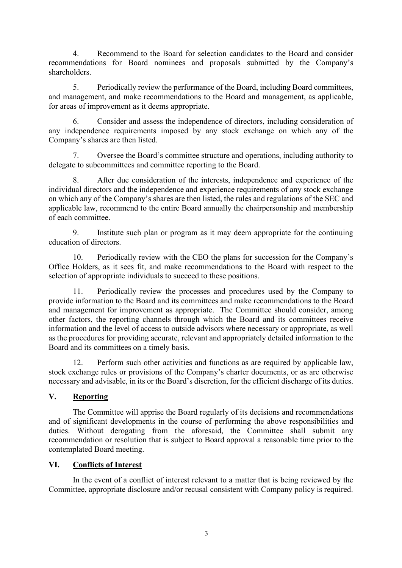4. Recommend to the Board for selection candidates to the Board and consider recommendations for Board nominees and proposals submitted by the Company's shareholders.

5. Periodically review the performance of the Board, including Board committees, and management, and make recommendations to the Board and management, as applicable, for areas of improvement as it deems appropriate.

6. Consider and assess the independence of directors, including consideration of any independence requirements imposed by any stock exchange on which any of the Company's shares are then listed.

7. Oversee the Board's committee structure and operations, including authority to delegate to subcommittees and committee reporting to the Board.

8. After due consideration of the interests, independence and experience of the individual directors and the independence and experience requirements of any stock exchange on which any of the Company's shares are then listed, the rules and regulations of the SEC and applicable law, recommend to the entire Board annually the chairpersonship and membership of each committee.

9. Institute such plan or program as it may deem appropriate for the continuing education of directors.

10. Periodically review with the CEO the plans for succession for the Company's Office Holders, as it sees fit, and make recommendations to the Board with respect to the selection of appropriate individuals to succeed to these positions.

11. Periodically review the processes and procedures used by the Company to provide information to the Board and its committees and make recommendations to the Board and management for improvement as appropriate. The Committee should consider, among other factors, the reporting channels through which the Board and its committees receive information and the level of access to outside advisors where necessary or appropriate, as well as the procedures for providing accurate, relevant and appropriately detailed information to the Board and its committees on a timely basis.

12. Perform such other activities and functions as are required by applicable law, stock exchange rules or provisions of the Company's charter documents, or as are otherwise necessary and advisable, in its or the Board's discretion, for the efficient discharge of its duties.

# **V. Reporting**

The Committee will apprise the Board regularly of its decisions and recommendations and of significant developments in the course of performing the above responsibilities and duties. Without derogating from the aforesaid, the Committee shall submit any recommendation or resolution that is subject to Board approval a reasonable time prior to the contemplated Board meeting.

## **VI. Conflicts of Interest**

In the event of a conflict of interest relevant to a matter that is being reviewed by the Committee, appropriate disclosure and/or recusal consistent with Company policy is required.